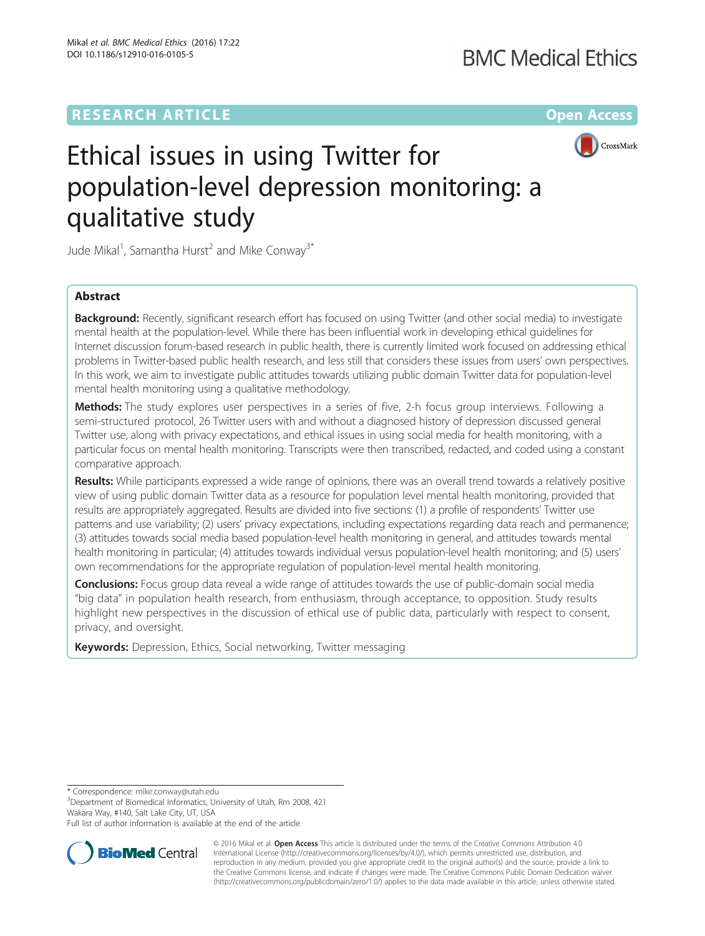## **RESEARCH ARTICLE Example 2014 12:30 The Company Access** (RESEARCH ARTICLE



# Ethical issues in using Twitter for population-level depression monitoring: a qualitative study

Jude Mikal<sup>1</sup>, Samantha Hurst<sup>2</sup> and Mike Conway<sup>3\*</sup>

## Abstract

Background: Recently, significant research effort has focused on using Twitter (and other social media) to investigate mental health at the population-level. While there has been influential work in developing ethical guidelines for Internet discussion forum-based research in public health, there is currently limited work focused on addressing ethical problems in Twitter-based public health research, and less still that considers these issues from users' own perspectives. In this work, we aim to investigate public attitudes towards utilizing public domain Twitter data for population-level mental health monitoring using a qualitative methodology.

Methods: The study explores user perspectives in a series of five, 2-h focus group interviews. Following a semi-structured protocol, 26 Twitter users with and without a diagnosed history of depression discussed general Twitter use, along with privacy expectations, and ethical issues in using social media for health monitoring, with a particular focus on mental health monitoring. Transcripts were then transcribed, redacted, and coded using a constant comparative approach.

Results: While participants expressed a wide range of opinions, there was an overall trend towards a relatively positive view of using public domain Twitter data as a resource for population level mental health monitoring, provided that results are appropriately aggregated. Results are divided into five sections: (1) a profile of respondents' Twitter use patterns and use variability; (2) users' privacy expectations, including expectations regarding data reach and permanence; (3) attitudes towards social media based population-level health monitoring in general, and attitudes towards mental health monitoring in particular; (4) attitudes towards individual versus population-level health monitoring; and (5) users' own recommendations for the appropriate regulation of population-level mental health monitoring.

**Conclusions:** Focus group data reveal a wide range of attitudes towards the use of public-domain social media "big data" in population health research, from enthusiasm, through acceptance, to opposition. Study results highlight new perspectives in the discussion of ethical use of public data, particularly with respect to consent, privacy, and oversight.

**Keywords:** Depression, Ethics, Social networking, Twitter messaging

\* Correspondence: [mike.conway@utah.edu](mailto:mike.conway@utah.edu) <sup>3</sup>

<sup>3</sup>Department of Biomedical Informatics, University of Utah, Rm 2008, 421 Wakara Way, #140, Salt Lake City, UT, USA

Full list of author information is available at the end of the article



© 2016 Mikal et al. Open Access This article is distributed under the terms of the Creative Commons Attribution 4.0 International License [\(http://creativecommons.org/licenses/by/4.0/](http://creativecommons.org/licenses/by/4.0/)), which permits unrestricted use, distribution, and reproduction in any medium, provided you give appropriate credit to the original author(s) and the source, provide a link to the Creative Commons license, and indicate if changes were made. The Creative Commons Public Domain Dedication waiver [\(http://creativecommons.org/publicdomain/zero/1.0/](http://creativecommons.org/publicdomain/zero/1.0/)) applies to the data made available in this article, unless otherwise stated.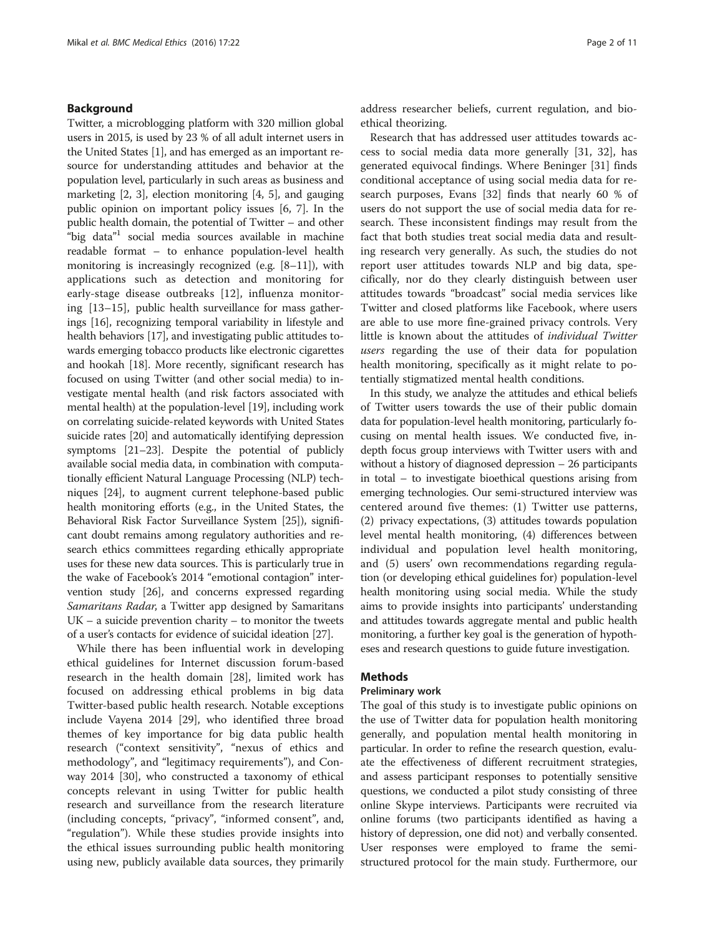## Background

Twitter, a microblogging platform with 320 million global users in 2015, is used by 23 % of all adult internet users in the United States [[1\]](#page-10-0), and has emerged as an important resource for understanding attitudes and behavior at the population level, particularly in such areas as business and marketing [\[2](#page-10-0), [3\]](#page-10-0), election monitoring [\[4, 5\]](#page-10-0), and gauging public opinion on important policy issues [\[6](#page-10-0), [7](#page-10-0)]. In the public health domain, the potential of Twitter – and other "big data" <sup>1</sup> social media sources available in machine readable format – to enhance population-level health monitoring is increasingly recognized (e.g. [[8](#page-10-0)–[11](#page-10-0)]), with applications such as detection and monitoring for early-stage disease outbreaks [[12\]](#page-10-0), influenza monitoring [\[13](#page-10-0)–[15](#page-10-0)], public health surveillance for mass gatherings [[16](#page-10-0)], recognizing temporal variability in lifestyle and health behaviors [\[17](#page-10-0)], and investigating public attitudes towards emerging tobacco products like electronic cigarettes and hookah [\[18\]](#page-10-0). More recently, significant research has focused on using Twitter (and other social media) to investigate mental health (and risk factors associated with mental health) at the population-level [[19\]](#page-10-0), including work on correlating suicide-related keywords with United States suicide rates [\[20](#page-10-0)] and automatically identifying depression symptoms [[21](#page-10-0)–[23](#page-10-0)]. Despite the potential of publicly available social media data, in combination with computationally efficient Natural Language Processing (NLP) techniques [\[24](#page-10-0)], to augment current telephone-based public health monitoring efforts (e.g., in the United States, the Behavioral Risk Factor Surveillance System [\[25\]](#page-10-0)), significant doubt remains among regulatory authorities and research ethics committees regarding ethically appropriate uses for these new data sources. This is particularly true in the wake of Facebook's 2014 "emotional contagion" intervention study [[26](#page-10-0)], and concerns expressed regarding Samaritans Radar, a Twitter app designed by Samaritans UK – a suicide prevention charity – to monitor the tweets of a user's contacts for evidence of suicidal ideation [[27](#page-10-0)].

While there has been influential work in developing ethical guidelines for Internet discussion forum-based research in the health domain [[28\]](#page-10-0), limited work has focused on addressing ethical problems in big data Twitter-based public health research. Notable exceptions include Vayena 2014 [[29\]](#page-10-0), who identified three broad themes of key importance for big data public health research ("context sensitivity", "nexus of ethics and methodology", and "legitimacy requirements"), and Conway 2014 [[30\]](#page-10-0), who constructed a taxonomy of ethical concepts relevant in using Twitter for public health research and surveillance from the research literature (including concepts, "privacy", "informed consent", and, "regulation"). While these studies provide insights into the ethical issues surrounding public health monitoring using new, publicly available data sources, they primarily address researcher beliefs, current regulation, and bioethical theorizing.

Research that has addressed user attitudes towards access to social media data more generally [\[31](#page-10-0), [32\]](#page-10-0), has generated equivocal findings. Where Beninger [\[31](#page-10-0)] finds conditional acceptance of using social media data for research purposes, Evans [[32\]](#page-10-0) finds that nearly 60 % of users do not support the use of social media data for research. These inconsistent findings may result from the fact that both studies treat social media data and resulting research very generally. As such, the studies do not report user attitudes towards NLP and big data, specifically, nor do they clearly distinguish between user attitudes towards "broadcast" social media services like Twitter and closed platforms like Facebook, where users are able to use more fine-grained privacy controls. Very little is known about the attitudes of individual Twitter users regarding the use of their data for population health monitoring, specifically as it might relate to potentially stigmatized mental health conditions.

In this study, we analyze the attitudes and ethical beliefs of Twitter users towards the use of their public domain data for population-level health monitoring, particularly focusing on mental health issues. We conducted five, indepth focus group interviews with Twitter users with and without a history of diagnosed depression – 26 participants in total – to investigate bioethical questions arising from emerging technologies. Our semi-structured interview was centered around five themes: (1) Twitter use patterns, (2) privacy expectations, (3) attitudes towards population level mental health monitoring, (4) differences between individual and population level health monitoring, and (5) users' own recommendations regarding regulation (or developing ethical guidelines for) population-level health monitoring using social media. While the study aims to provide insights into participants' understanding and attitudes towards aggregate mental and public health monitoring, a further key goal is the generation of hypotheses and research questions to guide future investigation.

## Methods

## Preliminary work

The goal of this study is to investigate public opinions on the use of Twitter data for population health monitoring generally, and population mental health monitoring in particular. In order to refine the research question, evaluate the effectiveness of different recruitment strategies, and assess participant responses to potentially sensitive questions, we conducted a pilot study consisting of three online Skype interviews. Participants were recruited via online forums (two participants identified as having a history of depression, one did not) and verbally consented. User responses were employed to frame the semistructured protocol for the main study. Furthermore, our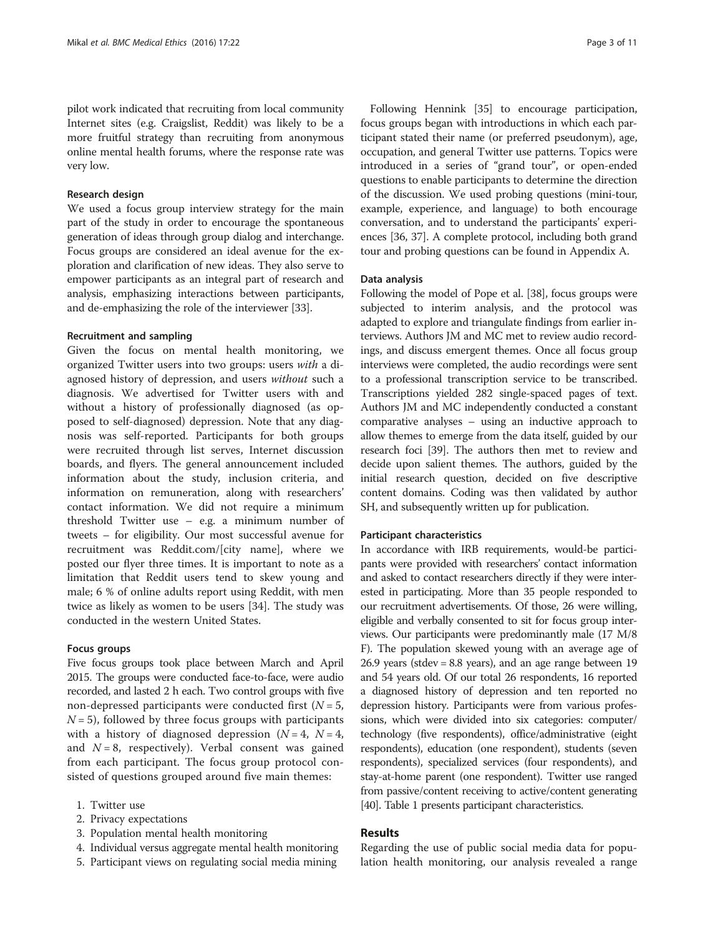pilot work indicated that recruiting from local community Internet sites (e.g. Craigslist, Reddit) was likely to be a more fruitful strategy than recruiting from anonymous online mental health forums, where the response rate was very low.

#### Research design

We used a focus group interview strategy for the main part of the study in order to encourage the spontaneous generation of ideas through group dialog and interchange. Focus groups are considered an ideal avenue for the exploration and clarification of new ideas. They also serve to empower participants as an integral part of research and analysis, emphasizing interactions between participants, and de-emphasizing the role of the interviewer [\[33\]](#page-10-0).

#### Recruitment and sampling

Given the focus on mental health monitoring, we organized Twitter users into two groups: users with a diagnosed history of depression, and users without such a diagnosis. We advertised for Twitter users with and without a history of professionally diagnosed (as opposed to self-diagnosed) depression. Note that any diagnosis was self-reported. Participants for both groups were recruited through list serves, Internet discussion boards, and flyers. The general announcement included information about the study, inclusion criteria, and information on remuneration, along with researchers' contact information. We did not require a minimum threshold Twitter use – e.g. a minimum number of tweets – for eligibility. Our most successful avenue for recruitment was Reddit.com/[city name], where we posted our flyer three times. It is important to note as a limitation that Reddit users tend to skew young and male; 6 % of online adults report using Reddit, with men twice as likely as women to be users [[34\]](#page-10-0). The study was conducted in the western United States.

#### Focus groups

Five focus groups took place between March and April 2015. The groups were conducted face-to-face, were audio recorded, and lasted 2 h each. Two control groups with five non-depressed participants were conducted first  $(N = 5)$ ,  $N = 5$ ), followed by three focus groups with participants with a history of diagnosed depression ( $N = 4$ ,  $N = 4$ , and  $N = 8$ , respectively). Verbal consent was gained from each participant. The focus group protocol consisted of questions grouped around five main themes:

- 1. Twitter use
- 2. Privacy expectations
- 3. Population mental health monitoring
- 4. Individual versus aggregate mental health monitoring
- 5. Participant views on regulating social media mining

Following Hennink [[35](#page-10-0)] to encourage participation, focus groups began with introductions in which each participant stated their name (or preferred pseudonym), age, occupation, and general Twitter use patterns. Topics were introduced in a series of "grand tour", or open-ended questions to enable participants to determine the direction of the discussion. We used probing questions (mini-tour, example, experience, and language) to both encourage conversation, and to understand the participants' experiences [[36](#page-10-0), [37](#page-10-0)]. A complete protocol, including both grand tour and probing questions can be found in [Appendix A.](#page-9-0)

#### Data analysis

Following the model of Pope et al. [\[38\]](#page-10-0), focus groups were subjected to interim analysis, and the protocol was adapted to explore and triangulate findings from earlier interviews. Authors JM and MC met to review audio recordings, and discuss emergent themes. Once all focus group interviews were completed, the audio recordings were sent to a professional transcription service to be transcribed. Transcriptions yielded 282 single-spaced pages of text. Authors JM and MC independently conducted a constant comparative analyses – using an inductive approach to allow themes to emerge from the data itself, guided by our research foci [\[39](#page-10-0)]. The authors then met to review and decide upon salient themes. The authors, guided by the initial research question, decided on five descriptive content domains. Coding was then validated by author SH, and subsequently written up for publication.

#### Participant characteristics

In accordance with IRB requirements, would-be participants were provided with researchers' contact information and asked to contact researchers directly if they were interested in participating. More than 35 people responded to our recruitment advertisements. Of those, 26 were willing, eligible and verbally consented to sit for focus group interviews. Our participants were predominantly male (17 M/8 F). The population skewed young with an average age of 26.9 years (stdev = 8.8 years), and an age range between 19 and 54 years old. Of our total 26 respondents, 16 reported a diagnosed history of depression and ten reported no depression history. Participants were from various professions, which were divided into six categories: computer/ technology (five respondents), office/administrative (eight respondents), education (one respondent), students (seven respondents), specialized services (four respondents), and stay-at-home parent (one respondent). Twitter use ranged from passive/content receiving to active/content generating [[40](#page-10-0)]. Table [1](#page-3-0) presents participant characteristics.

## Results

Regarding the use of public social media data for population health monitoring, our analysis revealed a range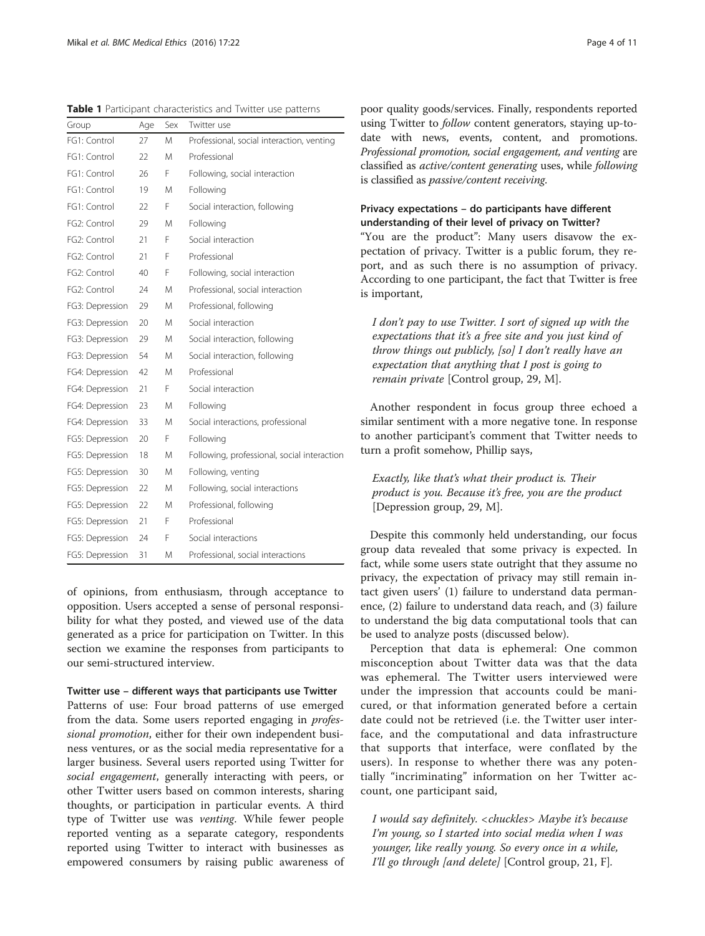<span id="page-3-0"></span>Table 1 Participant characteristics and Twitter use patterns

| Group           | Age | Sex | Twitter use                                 |
|-----------------|-----|-----|---------------------------------------------|
| FG1: Control    | 27  | M   | Professional, social interaction, venting   |
| FG1: Control    | 22  | M   | Professional                                |
| FG1: Control    | 26  | F   | Following, social interaction               |
| FG1: Control    | 19  | Μ   | Following                                   |
| FG1: Control    | 22  | F   | Social interaction, following               |
| FG2: Control    | 29  | Μ   | Following                                   |
| FG2: Control    | 21  | F   | Social interaction                          |
| FG2: Control    | 21  | F   | Professional                                |
| FG2: Control    | 40  | F   | Following, social interaction               |
| FG2: Control    | 24  | M   | Professional, social interaction            |
| FG3: Depression | 29  | M   | Professional, following                     |
| FG3: Depression | 20  | Μ   | Social interaction                          |
| FG3: Depression | 29  | M   | Social interaction, following               |
| FG3: Depression | 54  | M   | Social interaction, following               |
| FG4: Depression | 42  | M   | Professional                                |
| FG4: Depression | 21  | F   | Social interaction                          |
| FG4: Depression | 23  | Μ   | Following                                   |
| FG4: Depression | 33  | Μ   | Social interactions, professional           |
| FG5: Depression | 20  | F   | Following                                   |
| FG5: Depression | 18  | Μ   | Following, professional, social interaction |
| FG5: Depression | 30  | Μ   | Following, venting                          |
| FG5: Depression | 22  | M   | Following, social interactions              |
| FG5: Depression | 22  | M   | Professional, following                     |
| FG5: Depression | 21  | F   | Professional                                |
| FG5: Depression | 24  | F   | Social interactions                         |
| FG5: Depression | 31  | Μ   | Professional, social interactions           |

of opinions, from enthusiasm, through acceptance to opposition. Users accepted a sense of personal responsibility for what they posted, and viewed use of the data generated as a price for participation on Twitter. In this section we examine the responses from participants to our semi-structured interview.

#### Twitter use – different ways that participants use Twitter

Patterns of use: Four broad patterns of use emerged from the data. Some users reported engaging in professional promotion, either for their own independent business ventures, or as the social media representative for a larger business. Several users reported using Twitter for social engagement, generally interacting with peers, or other Twitter users based on common interests, sharing thoughts, or participation in particular events. A third type of Twitter use was venting. While fewer people reported venting as a separate category, respondents reported using Twitter to interact with businesses as empowered consumers by raising public awareness of poor quality goods/services. Finally, respondents reported using Twitter to follow content generators, staying up-todate with news, events, content, and promotions. Professional promotion, social engagement, and venting are classified as active/content generating uses, while following is classified as passive/content receiving.

## Privacy expectations – do participants have different understanding of their level of privacy on Twitter?

"You are the product": Many users disavow the expectation of privacy. Twitter is a public forum, they report, and as such there is no assumption of privacy. According to one participant, the fact that Twitter is free is important,

I don't pay to use Twitter. I sort of signed up with the expectations that it's a free site and you just kind of throw things out publicly, [so] I don't really have an expectation that anything that I post is going to remain private [Control group, 29, M].

Another respondent in focus group three echoed a similar sentiment with a more negative tone. In response to another participant's comment that Twitter needs to turn a profit somehow, Phillip says,

Exactly, like that's what their product is. Their product is you. Because it's free, you are the product [Depression group, 29, M].

Despite this commonly held understanding, our focus group data revealed that some privacy is expected. In fact, while some users state outright that they assume no privacy, the expectation of privacy may still remain intact given users' (1) failure to understand data permanence, (2) failure to understand data reach, and (3) failure to understand the big data computational tools that can be used to analyze posts (discussed below).

Perception that data is ephemeral: One common misconception about Twitter data was that the data was ephemeral. The Twitter users interviewed were under the impression that accounts could be manicured, or that information generated before a certain date could not be retrieved (i.e. the Twitter user interface, and the computational and data infrastructure that supports that interface, were conflated by the users). In response to whether there was any potentially "incriminating" information on her Twitter account, one participant said,

I would say definitely. <chuckles> Maybe it's because I'm young, so I started into social media when I was younger, like really young. So every once in a while, I'll go through [and delete] [Control group, 21, F].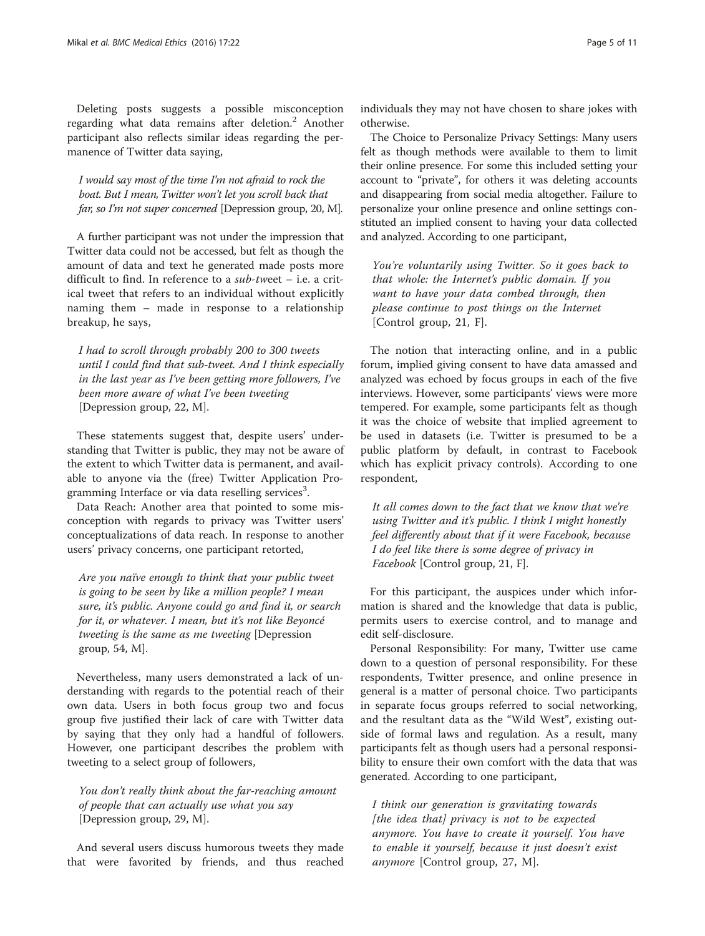Deleting posts suggests a possible misconception regarding what data remains after deletion.<sup>2</sup> Another participant also reflects similar ideas regarding the permanence of Twitter data saying,

I would say most of the time I'm not afraid to rock the boat. But I mean, Twitter won't let you scroll back that far, so I'm not super concerned [Depression group, 20, M].

A further participant was not under the impression that Twitter data could not be accessed, but felt as though the amount of data and text he generated made posts more difficult to find. In reference to a sub-tweet – i.e. a critical tweet that refers to an individual without explicitly naming them – made in response to a relationship breakup, he says,

I had to scroll through probably 200 to 300 tweets until I could find that sub-tweet. And I think especially in the last year as I've been getting more followers, I've been more aware of what I've been tweeting [Depression group, 22, M].

These statements suggest that, despite users' understanding that Twitter is public, they may not be aware of the extent to which Twitter data is permanent, and available to anyone via the (free) Twitter Application Programming Interface or via data reselling services $^3$ .

Data Reach: Another area that pointed to some misconception with regards to privacy was Twitter users' conceptualizations of data reach. In response to another users' privacy concerns, one participant retorted,

Are you naïve enough to think that your public tweet is going to be seen by like a million people? I mean sure, it's public. Anyone could go and find it, or search for it, or whatever. I mean, but it's not like Beyoncé tweeting is the same as me tweeting [Depression group, 54, M].

Nevertheless, many users demonstrated a lack of understanding with regards to the potential reach of their own data. Users in both focus group two and focus group five justified their lack of care with Twitter data by saying that they only had a handful of followers. However, one participant describes the problem with tweeting to a select group of followers,

You don't really think about the far-reaching amount of people that can actually use what you say [Depression group, 29, M].

And several users discuss humorous tweets they made that were favorited by friends, and thus reached

individuals they may not have chosen to share jokes with otherwise.

The Choice to Personalize Privacy Settings: Many users felt as though methods were available to them to limit their online presence. For some this included setting your account to "private", for others it was deleting accounts and disappearing from social media altogether. Failure to personalize your online presence and online settings constituted an implied consent to having your data collected and analyzed. According to one participant,

You're voluntarily using Twitter. So it goes back to that whole: the Internet's public domain. If you want to have your data combed through, then please continue to post things on the Internet [Control group, 21, F].

The notion that interacting online, and in a public forum, implied giving consent to have data amassed and analyzed was echoed by focus groups in each of the five interviews. However, some participants' views were more tempered. For example, some participants felt as though it was the choice of website that implied agreement to be used in datasets (i.e. Twitter is presumed to be a public platform by default, in contrast to Facebook which has explicit privacy controls). According to one respondent,

It all comes down to the fact that we know that we're using Twitter and it's public. I think I might honestly feel differently about that if it were Facebook, because I do feel like there is some degree of privacy in Facebook [Control group, 21, F].

For this participant, the auspices under which information is shared and the knowledge that data is public, permits users to exercise control, and to manage and edit self-disclosure.

Personal Responsibility: For many, Twitter use came down to a question of personal responsibility. For these respondents, Twitter presence, and online presence in general is a matter of personal choice. Two participants in separate focus groups referred to social networking, and the resultant data as the "Wild West", existing outside of formal laws and regulation. As a result, many participants felt as though users had a personal responsibility to ensure their own comfort with the data that was generated. According to one participant,

I think our generation is gravitating towards [the idea that] privacy is not to be expected anymore. You have to create it yourself. You have to enable it yourself, because it just doesn't exist anymore [Control group, 27, M].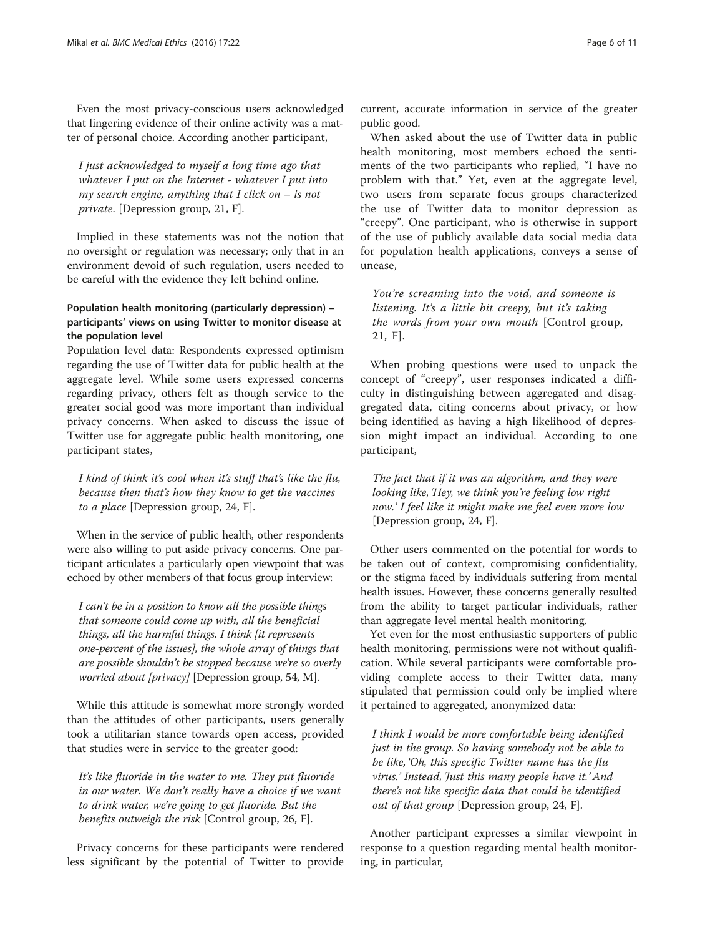Even the most privacy-conscious users acknowledged that lingering evidence of their online activity was a matter of personal choice. According another participant,

I just acknowledged to myself a long time ago that whatever I put on the Internet - whatever I put into my search engine, anything that I click on  $-$  is not private. [Depression group, 21, F].

Implied in these statements was not the notion that no oversight or regulation was necessary; only that in an environment devoid of such regulation, users needed to be careful with the evidence they left behind online.

## Population health monitoring (particularly depression) – participants' views on using Twitter to monitor disease at the population level

Population level data: Respondents expressed optimism regarding the use of Twitter data for public health at the aggregate level. While some users expressed concerns regarding privacy, others felt as though service to the greater social good was more important than individual privacy concerns. When asked to discuss the issue of Twitter use for aggregate public health monitoring, one participant states,

I kind of think it's cool when it's stuff that's like the flu, because then that's how they know to get the vaccines to a place [Depression group, 24, F].

When in the service of public health, other respondents were also willing to put aside privacy concerns. One participant articulates a particularly open viewpoint that was echoed by other members of that focus group interview:

I can't be in a position to know all the possible things that someone could come up with, all the beneficial things, all the harmful things. I think [it represents one-percent of the issues], the whole array of things that are possible shouldn't be stopped because we're so overly worried about [privacy] [Depression group, 54, M].

While this attitude is somewhat more strongly worded than the attitudes of other participants, users generally took a utilitarian stance towards open access, provided that studies were in service to the greater good:

It's like fluoride in the water to me. They put fluoride in our water. We don't really have a choice if we want to drink water, we're going to get fluoride. But the benefits outweigh the risk [Control group, 26, F].

Privacy concerns for these participants were rendered less significant by the potential of Twitter to provide current, accurate information in service of the greater public good.

When asked about the use of Twitter data in public health monitoring, most members echoed the sentiments of the two participants who replied, "I have no problem with that." Yet, even at the aggregate level, two users from separate focus groups characterized the use of Twitter data to monitor depression as "creepy". One participant, who is otherwise in support of the use of publicly available data social media data for population health applications, conveys a sense of unease,

You're screaming into the void, and someone is listening. It's a little bit creepy, but it's taking the words from your own mouth [Control group, 21, F].

When probing questions were used to unpack the concept of "creepy", user responses indicated a difficulty in distinguishing between aggregated and disaggregated data, citing concerns about privacy, or how being identified as having a high likelihood of depression might impact an individual. According to one participant,

The fact that if it was an algorithm, and they were looking like, 'Hey, we think you're feeling low right now.' I feel like it might make me feel even more low [Depression group, 24, F].

Other users commented on the potential for words to be taken out of context, compromising confidentiality, or the stigma faced by individuals suffering from mental health issues. However, these concerns generally resulted from the ability to target particular individuals, rather than aggregate level mental health monitoring.

Yet even for the most enthusiastic supporters of public health monitoring, permissions were not without qualification. While several participants were comfortable providing complete access to their Twitter data, many stipulated that permission could only be implied where it pertained to aggregated, anonymized data:

I think I would be more comfortable being identified just in the group. So having somebody not be able to be like, 'Oh, this specific Twitter name has the flu virus.' Instead, 'Just this many people have it.' And there's not like specific data that could be identified out of that group [Depression group, 24, F].

Another participant expresses a similar viewpoint in response to a question regarding mental health monitoring, in particular,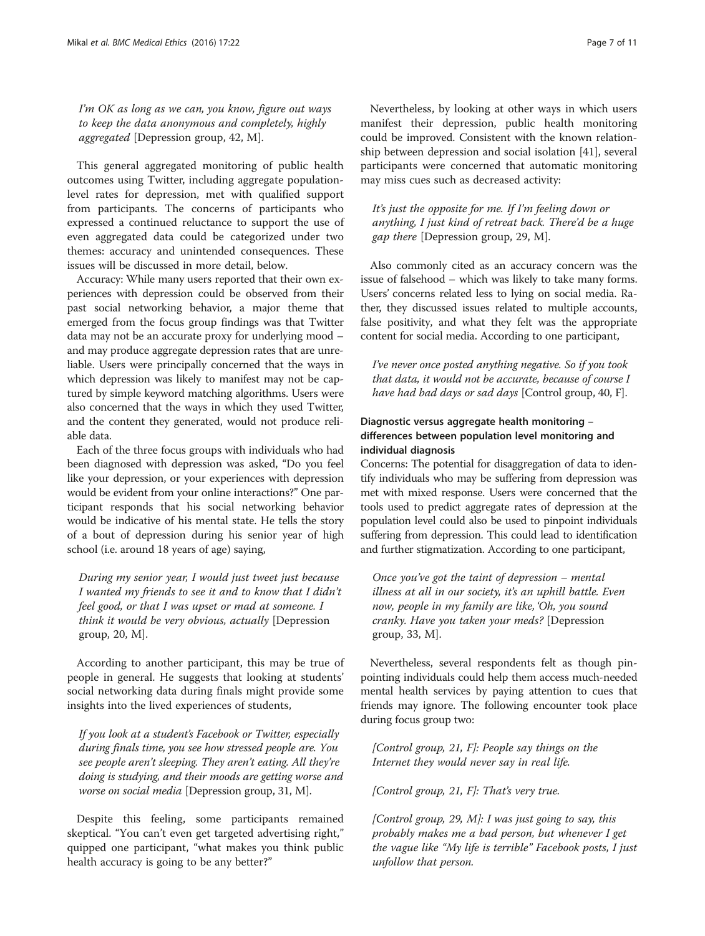I'm OK as long as we can, you know, figure out ways to keep the data anonymous and completely, highly aggregated [Depression group, 42, M].

This general aggregated monitoring of public health outcomes using Twitter, including aggregate populationlevel rates for depression, met with qualified support from participants. The concerns of participants who expressed a continued reluctance to support the use of even aggregated data could be categorized under two themes: accuracy and unintended consequences. These issues will be discussed in more detail, below.

Accuracy: While many users reported that their own experiences with depression could be observed from their past social networking behavior, a major theme that emerged from the focus group findings was that Twitter data may not be an accurate proxy for underlying mood – and may produce aggregate depression rates that are unreliable. Users were principally concerned that the ways in which depression was likely to manifest may not be captured by simple keyword matching algorithms. Users were also concerned that the ways in which they used Twitter, and the content they generated, would not produce reliable data.

Each of the three focus groups with individuals who had been diagnosed with depression was asked, "Do you feel like your depression, or your experiences with depression would be evident from your online interactions?" One participant responds that his social networking behavior would be indicative of his mental state. He tells the story of a bout of depression during his senior year of high school (i.e. around 18 years of age) saying,

During my senior year, I would just tweet just because I wanted my friends to see it and to know that I didn't feel good, or that I was upset or mad at someone. I think it would be very obvious, actually [Depression group, 20, M].

According to another participant, this may be true of people in general. He suggests that looking at students' social networking data during finals might provide some insights into the lived experiences of students,

If you look at a student's Facebook or Twitter, especially during finals time, you see how stressed people are. You see people aren't sleeping. They aren't eating. All they're doing is studying, and their moods are getting worse and worse on social media [Depression group, 31, M].

Despite this feeling, some participants remained skeptical. "You can't even get targeted advertising right," quipped one participant, "what makes you think public health accuracy is going to be any better?"

Nevertheless, by looking at other ways in which users manifest their depression, public health monitoring could be improved. Consistent with the known relationship between depression and social isolation [[41](#page-10-0)], several participants were concerned that automatic monitoring may miss cues such as decreased activity:

It's just the opposite for me. If I'm feeling down or anything, I just kind of retreat back. There'd be a huge gap there [Depression group, 29, M].

Also commonly cited as an accuracy concern was the issue of falsehood – which was likely to take many forms. Users' concerns related less to lying on social media. Rather, they discussed issues related to multiple accounts, false positivity, and what they felt was the appropriate content for social media. According to one participant,

I've never once posted anything negative. So if you took that data, it would not be accurate, because of course I have had bad days or sad days [Control group, 40, F].

## Diagnostic versus aggregate health monitoring – differences between population level monitoring and individual diagnosis

Concerns: The potential for disaggregation of data to identify individuals who may be suffering from depression was met with mixed response. Users were concerned that the tools used to predict aggregate rates of depression at the population level could also be used to pinpoint individuals suffering from depression. This could lead to identification and further stigmatization. According to one participant,

Once you've got the taint of depression – mental illness at all in our society, it's an uphill battle. Even now, people in my family are like, 'Oh, you sound cranky. Have you taken your meds? [Depression group, 33, M].

Nevertheless, several respondents felt as though pinpointing individuals could help them access much-needed mental health services by paying attention to cues that friends may ignore. The following encounter took place during focus group two:

[Control group, 21, F]: People say things on the Internet they would never say in real life.

[Control group, 21, F]: That's very true.

[Control group, 29, M]: I was just going to say, this probably makes me a bad person, but whenever I get the vague like "My life is terrible" Facebook posts, I just unfollow that person.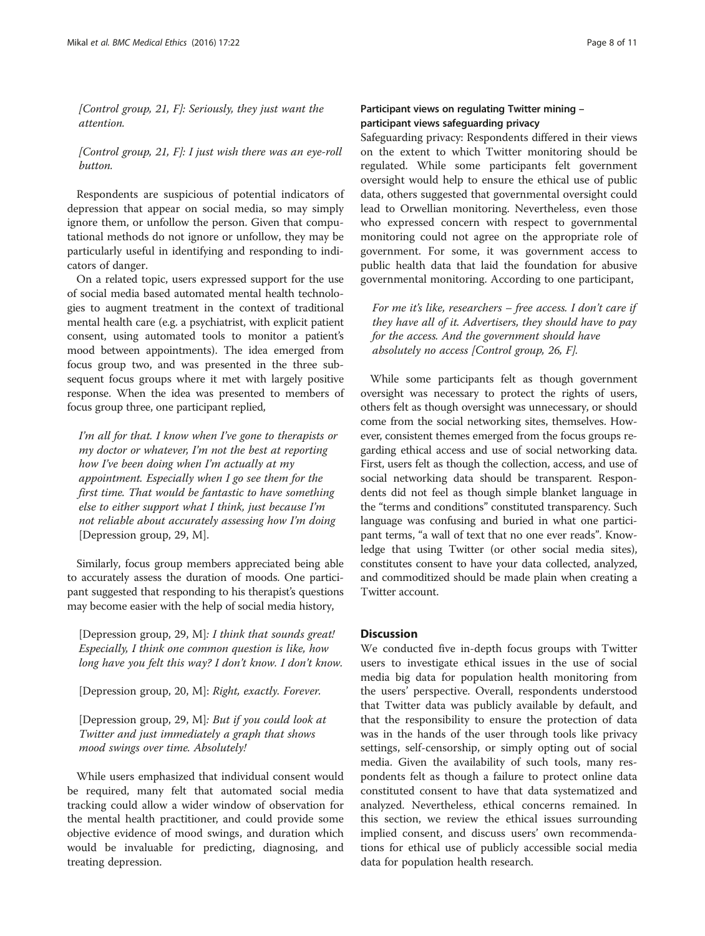[Control group, 21, F]: Seriously, they just want the attention.

## [Control group, 21, F]: I just wish there was an eye-roll button.

Respondents are suspicious of potential indicators of depression that appear on social media, so may simply ignore them, or unfollow the person. Given that computational methods do not ignore or unfollow, they may be particularly useful in identifying and responding to indicators of danger.

On a related topic, users expressed support for the use of social media based automated mental health technologies to augment treatment in the context of traditional mental health care (e.g. a psychiatrist, with explicit patient consent, using automated tools to monitor a patient's mood between appointments). The idea emerged from focus group two, and was presented in the three subsequent focus groups where it met with largely positive response. When the idea was presented to members of focus group three, one participant replied,

I'm all for that. I know when I've gone to therapists or my doctor or whatever, I'm not the best at reporting how I've been doing when I'm actually at my appointment. Especially when I go see them for the first time. That would be fantastic to have something else to either support what I think, just because I'm not reliable about accurately assessing how I'm doing [Depression group, 29, M].

Similarly, focus group members appreciated being able to accurately assess the duration of moods. One participant suggested that responding to his therapist's questions may become easier with the help of social media history,

[Depression group, 29, M]: I think that sounds great! Especially, I think one common question is like, how long have you felt this way? I don't know. I don't know.

[Depression group, 20, M]: Right, exactly. Forever.

[Depression group, 29, M]: But if you could look at Twitter and just immediately a graph that shows mood swings over time. Absolutely!

While users emphasized that individual consent would be required, many felt that automated social media tracking could allow a wider window of observation for the mental health practitioner, and could provide some objective evidence of mood swings, and duration which would be invaluable for predicting, diagnosing, and treating depression.

## Participant views on regulating Twitter mining – participant views safeguarding privacy

Safeguarding privacy: Respondents differed in their views on the extent to which Twitter monitoring should be regulated. While some participants felt government oversight would help to ensure the ethical use of public data, others suggested that governmental oversight could lead to Orwellian monitoring. Nevertheless, even those who expressed concern with respect to governmental monitoring could not agree on the appropriate role of government. For some, it was government access to public health data that laid the foundation for abusive governmental monitoring. According to one participant,

For me it's like, researchers – free access. I don't care if they have all of it. Advertisers, they should have to pay for the access. And the government should have absolutely no access [Control group, 26, F].

While some participants felt as though government oversight was necessary to protect the rights of users, others felt as though oversight was unnecessary, or should come from the social networking sites, themselves. However, consistent themes emerged from the focus groups regarding ethical access and use of social networking data. First, users felt as though the collection, access, and use of social networking data should be transparent. Respondents did not feel as though simple blanket language in the "terms and conditions" constituted transparency. Such language was confusing and buried in what one participant terms, "a wall of text that no one ever reads". Knowledge that using Twitter (or other social media sites), constitutes consent to have your data collected, analyzed, and commoditized should be made plain when creating a Twitter account.

## **Discussion**

We conducted five in-depth focus groups with Twitter users to investigate ethical issues in the use of social media big data for population health monitoring from the users' perspective. Overall, respondents understood that Twitter data was publicly available by default, and that the responsibility to ensure the protection of data was in the hands of the user through tools like privacy settings, self-censorship, or simply opting out of social media. Given the availability of such tools, many respondents felt as though a failure to protect online data constituted consent to have that data systematized and analyzed. Nevertheless, ethical concerns remained. In this section, we review the ethical issues surrounding implied consent, and discuss users' own recommendations for ethical use of publicly accessible social media data for population health research.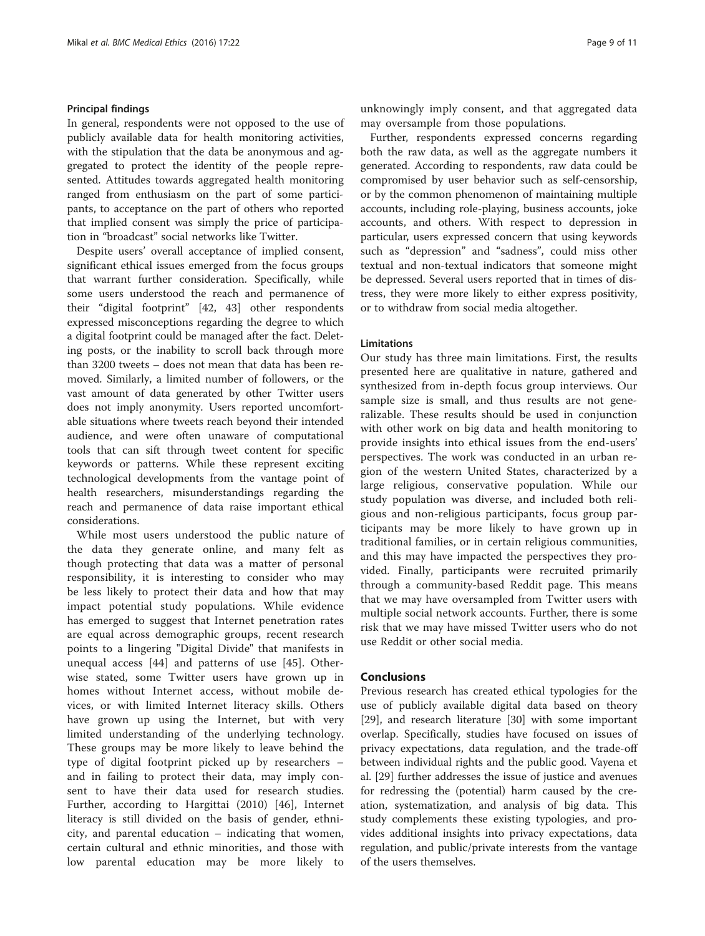## Principal findings

In general, respondents were not opposed to the use of publicly available data for health monitoring activities, with the stipulation that the data be anonymous and aggregated to protect the identity of the people represented. Attitudes towards aggregated health monitoring ranged from enthusiasm on the part of some participants, to acceptance on the part of others who reported that implied consent was simply the price of participation in "broadcast" social networks like Twitter.

Despite users' overall acceptance of implied consent, significant ethical issues emerged from the focus groups that warrant further consideration. Specifically, while some users understood the reach and permanence of their "digital footprint" [[42, 43](#page-10-0)] other respondents expressed misconceptions regarding the degree to which a digital footprint could be managed after the fact. Deleting posts, or the inability to scroll back through more than 3200 tweets – does not mean that data has been removed. Similarly, a limited number of followers, or the vast amount of data generated by other Twitter users does not imply anonymity. Users reported uncomfortable situations where tweets reach beyond their intended audience, and were often unaware of computational tools that can sift through tweet content for specific keywords or patterns. While these represent exciting technological developments from the vantage point of health researchers, misunderstandings regarding the reach and permanence of data raise important ethical considerations.

While most users understood the public nature of the data they generate online, and many felt as though protecting that data was a matter of personal responsibility, it is interesting to consider who may be less likely to protect their data and how that may impact potential study populations. While evidence has emerged to suggest that Internet penetration rates are equal across demographic groups, recent research points to a lingering "Digital Divide" that manifests in unequal access [[44](#page-10-0)] and patterns of use [[45\]](#page-10-0). Otherwise stated, some Twitter users have grown up in homes without Internet access, without mobile devices, or with limited Internet literacy skills. Others have grown up using the Internet, but with very limited understanding of the underlying technology. These groups may be more likely to leave behind the type of digital footprint picked up by researchers – and in failing to protect their data, may imply consent to have their data used for research studies. Further, according to Hargittai (2010) [[46](#page-10-0)], Internet literacy is still divided on the basis of gender, ethnicity, and parental education – indicating that women, certain cultural and ethnic minorities, and those with low parental education may be more likely to unknowingly imply consent, and that aggregated data may oversample from those populations.

Further, respondents expressed concerns regarding both the raw data, as well as the aggregate numbers it generated. According to respondents, raw data could be compromised by user behavior such as self-censorship, or by the common phenomenon of maintaining multiple accounts, including role-playing, business accounts, joke accounts, and others. With respect to depression in particular, users expressed concern that using keywords such as "depression" and "sadness", could miss other textual and non-textual indicators that someone might be depressed. Several users reported that in times of distress, they were more likely to either express positivity, or to withdraw from social media altogether.

### Limitations

Our study has three main limitations. First, the results presented here are qualitative in nature, gathered and synthesized from in-depth focus group interviews. Our sample size is small, and thus results are not generalizable. These results should be used in conjunction with other work on big data and health monitoring to provide insights into ethical issues from the end-users' perspectives. The work was conducted in an urban region of the western United States, characterized by a large religious, conservative population. While our study population was diverse, and included both religious and non-religious participants, focus group participants may be more likely to have grown up in traditional families, or in certain religious communities, and this may have impacted the perspectives they provided. Finally, participants were recruited primarily through a community-based Reddit page. This means that we may have oversampled from Twitter users with multiple social network accounts. Further, there is some risk that we may have missed Twitter users who do not use Reddit or other social media.

#### **Conclusions**

Previous research has created ethical typologies for the use of publicly available digital data based on theory [[29\]](#page-10-0), and research literature [\[30](#page-10-0)] with some important overlap. Specifically, studies have focused on issues of privacy expectations, data regulation, and the trade-off between individual rights and the public good. Vayena et al. [\[29\]](#page-10-0) further addresses the issue of justice and avenues for redressing the (potential) harm caused by the creation, systematization, and analysis of big data. This study complements these existing typologies, and provides additional insights into privacy expectations, data regulation, and public/private interests from the vantage of the users themselves.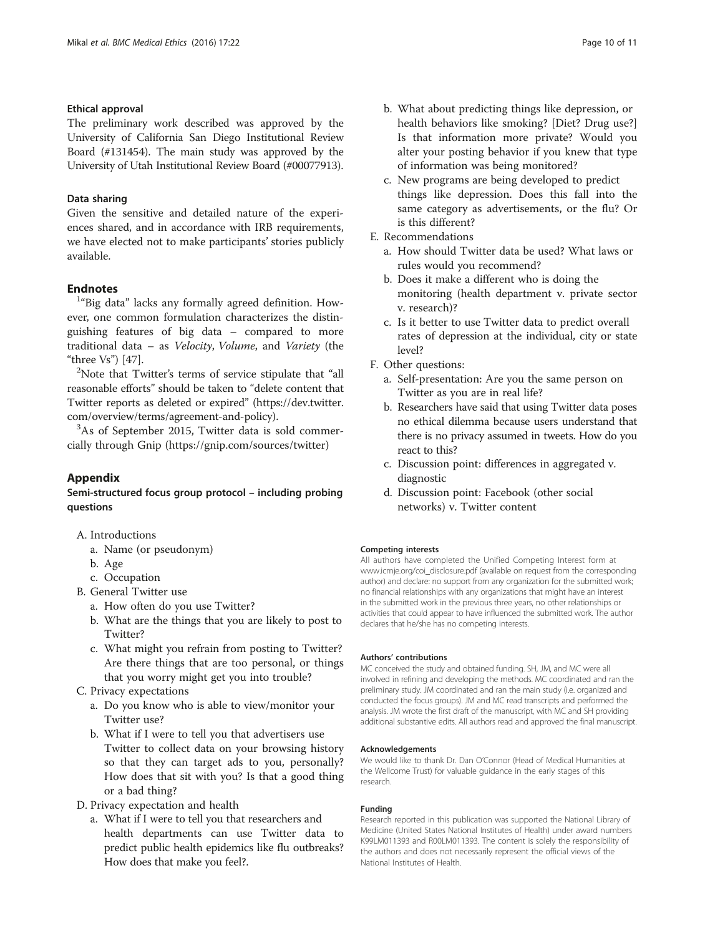## <span id="page-9-0"></span>Ethical approval

The preliminary work described was approved by the University of California San Diego Institutional Review Board (#131454). The main study was approved by the University of Utah Institutional Review Board (#00077913).

## Data sharing

Given the sensitive and detailed nature of the experiences shared, and in accordance with IRB requirements, we have elected not to make participants' stories publicly available.

## **Endnotes**

<sup>1</sup>"Big data" lacks any formally agreed definition. However, one common formulation characterizes the distinguishing features of big data – compared to more traditional data – as Velocity, Volume, and Variety (the "three  $Vs$ ") [\[47](#page-10-0)].

<sup>2</sup>Note that Twitter's terms of service stipulate that "all reasonable efforts" should be taken to "delete content that Twitter reports as deleted or expired" ([https://dev.twitter.](https://dev.twitter.com/overview/terms/agreement-and-policy) [com/overview/terms/agreement-and-policy](https://dev.twitter.com/overview/terms/agreement-and-policy)).

<sup>3</sup>As of September 2015, Twitter data is sold commercially through Gnip (<https://gnip.com/sources/twitter>)

## Appendix

## Semi-structured focus group protocol – including probing questions

- A. Introductions
	- a. Name (or pseudonym)
	- b. Age
	- c. Occupation
- B. General Twitter use
	- a. How often do you use Twitter?
	- b. What are the things that you are likely to post to Twitter?
	- c. What might you refrain from posting to Twitter? Are there things that are too personal, or things that you worry might get you into trouble?
- C. Privacy expectations
	- a. Do you know who is able to view/monitor your Twitter use?
	- b. What if I were to tell you that advertisers use Twitter to collect data on your browsing history so that they can target ads to you, personally? How does that sit with you? Is that a good thing or a bad thing?
- D. Privacy expectation and health
	- a. What if I were to tell you that researchers and health departments can use Twitter data to predict public health epidemics like flu outbreaks? How does that make you feel?.
- b. What about predicting things like depression, or health behaviors like smoking? [Diet? Drug use?] Is that information more private? Would you alter your posting behavior if you knew that type of information was being monitored?
- c. New programs are being developed to predict things like depression. Does this fall into the same category as advertisements, or the flu? Or is this different?
- E. Recommendations
	- a. How should Twitter data be used? What laws or rules would you recommend?
	- b. Does it make a different who is doing the monitoring (health department v. private sector v. research)?
	- c. Is it better to use Twitter data to predict overall rates of depression at the individual, city or state level?
- F. Other questions:
	- a. Self-presentation: Are you the same person on Twitter as you are in real life?
	- b. Researchers have said that using Twitter data poses no ethical dilemma because users understand that there is no privacy assumed in tweets. How do you react to this?
	- c. Discussion point: differences in aggregated v. diagnostic
	- d. Discussion point: Facebook (other social networks) v. Twitter content

#### Competing interests

All authors have completed the Unified Competing Interest form at [www.icmje.org/coi\\_disclosure.pdf](http://www.icmje.org/coi_disclosure.pdf) (available on request from the corresponding author) and declare: no support from any organization for the submitted work; no financial relationships with any organizations that might have an interest in the submitted work in the previous three years, no other relationships or activities that could appear to have influenced the submitted work. The author declares that he/she has no competing interests.

#### Authors' contributions

MC conceived the study and obtained funding. SH, JM, and MC were all involved in refining and developing the methods. MC coordinated and ran the preliminary study. JM coordinated and ran the main study (i.e. organized and conducted the focus groups). JM and MC read transcripts and performed the analysis. JM wrote the first draft of the manuscript, with MC and SH providing additional substantive edits. All authors read and approved the final manuscript.

#### Acknowledgements

We would like to thank Dr. Dan O'Connor (Head of Medical Humanities at the Wellcome Trust) for valuable guidance in the early stages of this research.

#### Funding

Research reported in this publication was supported the National Library of Medicine (United States National Institutes of Health) under award numbers K99LM011393 and R00LM011393. The content is solely the responsibility of the authors and does not necessarily represent the official views of the National Institutes of Health.